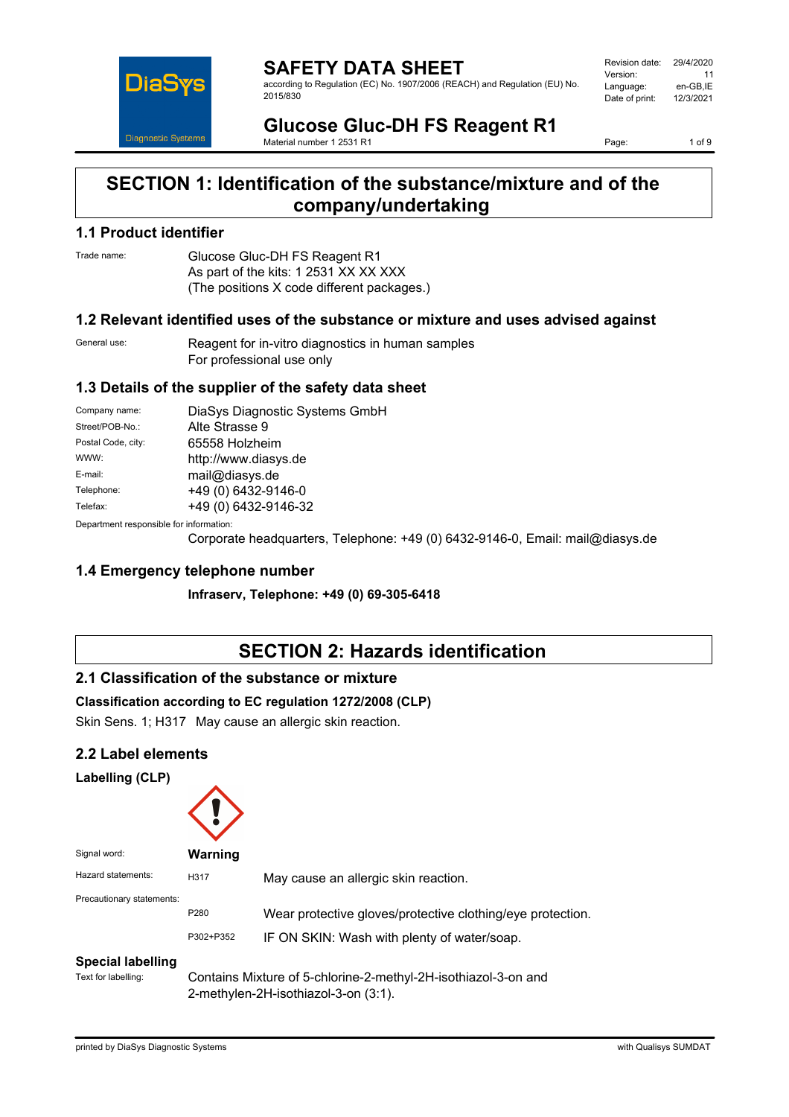

**SAFETY DATA SHEET** according to Regulation (EC) No. 1907/2006 (REACH) and Regulation (EU) No. 2015/830

Revision date: 29/4/2020 Version: 11<br>Language: en-GB.IE Language: en-GB,IE<br>Date of print: 12/3/2021 Date of print:

**Glucose Gluc-DH FS Reagent R1** Material number 1 2531 R1

Page: 1 of 9

# **SECTION 1: Identification of the substance/mixture and of the company/undertaking**

#### **1.1 Product identifier**

Trade name: Glucose Gluc-DH FS Reagent R1 As part of the kits: 1 2531 XX XX XXX (The positions X code different packages.)

### **1.2 Relevant identified uses of the substance or mixture and uses advised against**

General use: Reagent for in-vitro diagnostics in human samples For professional use only

### **1.3 Details of the supplier of the safety data sheet**

| Company name:                           | DiaSys Diagnostic Systems GmbH |  |
|-----------------------------------------|--------------------------------|--|
| Street/POB-No.:                         | Alte Strasse 9                 |  |
| Postal Code, city:                      | 65558 Holzheim                 |  |
| WWW:                                    | http://www.diasys.de           |  |
| E-mail:                                 | mail@diasys.de                 |  |
| Telephone:                              | +49 (0) 6432-9146-0            |  |
| Telefax:                                | +49 (0) 6432-9146-32           |  |
| Department responsible for information: |                                |  |

)epartment responsible fo

Corporate headquarters, Telephone: +49 (0) 6432-9146-0, Email: mail@diasys.de

### **1.4 Emergency telephone number**

**Infraserv, Telephone: +49 (0) 69-305-6418**

# **SECTION 2: Hazards identification**

### **2.1 Classification of the substance or mixture**

#### **Classification according to EC regulation 1272/2008 (CLP)**

Skin Sens. 1; H317 May cause an allergic skin reaction.

### **2.2 Label elements**

#### **Labelling (CLP)**

| Signal word:              | <b>Warning</b>    |                                                                                                           |
|---------------------------|-------------------|-----------------------------------------------------------------------------------------------------------|
| Hazard statements:        | H317              | May cause an allergic skin reaction.                                                                      |
| Precautionary statements: | P280<br>P302+P352 | Wear protective gloves/protective clothing/eye protection.<br>IF ON SKIN: Wash with plenty of water/soap. |
| <b>Special labelling</b>  |                   |                                                                                                           |

Text for labelling: Contains Mixture of 5-chlorine-2-methyl-2H-isothiazol-3-on and 2-methylen-2H-isothiazol-3-on (3:1).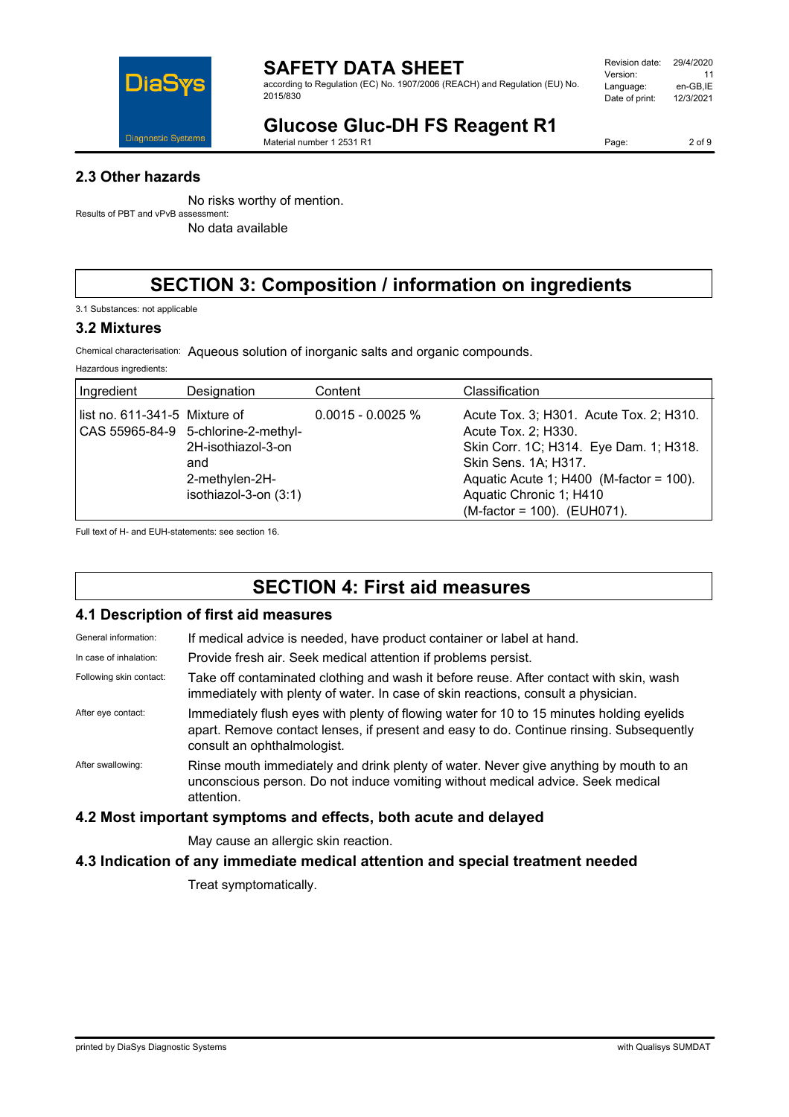

according to Regulation (EC) No. 1907/2006 (REACH) and Regulation (EU) No. 2015/830

| Revision date: | 29/4/2020 |
|----------------|-----------|
| Version:       | 11        |
| Language:      | en-GB.IE  |
| Date of print: | 12/3/2021 |
|                |           |

# **Glucose Gluc-DH FS Reagent R1**

Material number 1 2531 R1

Page: 2 of 9

### **2.3 Other hazards**

No risks worthy of mention. Results of PBT and vPvB assessment:

No data available

# **SECTION 3: Composition / information on ingredients**

3.1 Substances: not applicable

### **3.2 Mixtures**

Chemical characterisation: Aqueous solution of inorganic salts and organic compounds.

Hazardous ingredients:

| Ingredient                    | Designation                                                                                                 | Content             | Classification                                                                                                                                                                                                                          |
|-------------------------------|-------------------------------------------------------------------------------------------------------------|---------------------|-----------------------------------------------------------------------------------------------------------------------------------------------------------------------------------------------------------------------------------------|
| list no. 611-341-5 Mixture of | CAS 55965-84-9 5-chlorine-2-methyl-<br>2H-isothiazol-3-on<br>and<br>2-methylen-2H-<br>isothiazol-3-on (3:1) | $0.0015 - 0.0025$ % | Acute Tox. 3; H301. Acute Tox. 2; H310.<br>Acute Tox. 2; H330.<br>Skin Corr. 1C; H314. Eye Dam. 1; H318.<br>Skin Sens. 1A; H317.<br>Aquatic Acute 1; $H400$ (M-factor = 100).<br>Aquatic Chronic 1; H410<br>(M-factor = 100). (EUH071). |

Full text of H- and EUH-statements: see section 16.

# **SECTION 4: First aid measures**

#### **4.1 Description of first aid measures**

| General information:    | If medical advice is needed, have product container or label at hand.                                                                                                                                              |
|-------------------------|--------------------------------------------------------------------------------------------------------------------------------------------------------------------------------------------------------------------|
| In case of inhalation:  | Provide fresh air. Seek medical attention if problems persist.                                                                                                                                                     |
| Following skin contact: | Take off contaminated clothing and wash it before reuse. After contact with skin, wash<br>immediately with plenty of water. In case of skin reactions, consult a physician.                                        |
| After eye contact:      | Immediately flush eyes with plenty of flowing water for 10 to 15 minutes holding eyelids<br>apart. Remove contact lenses, if present and easy to do. Continue rinsing. Subsequently<br>consult an ophthalmologist. |
| After swallowing:       | Rinse mouth immediately and drink plenty of water. Never give anything by mouth to an<br>unconscious person. Do not induce vomiting without medical advice. Seek medical<br>attention.                             |

### **4.2 Most important symptoms and effects, both acute and delayed**

May cause an allergic skin reaction.

### **4.3 Indication of any immediate medical attention and special treatment needed**

Treat symptomatically.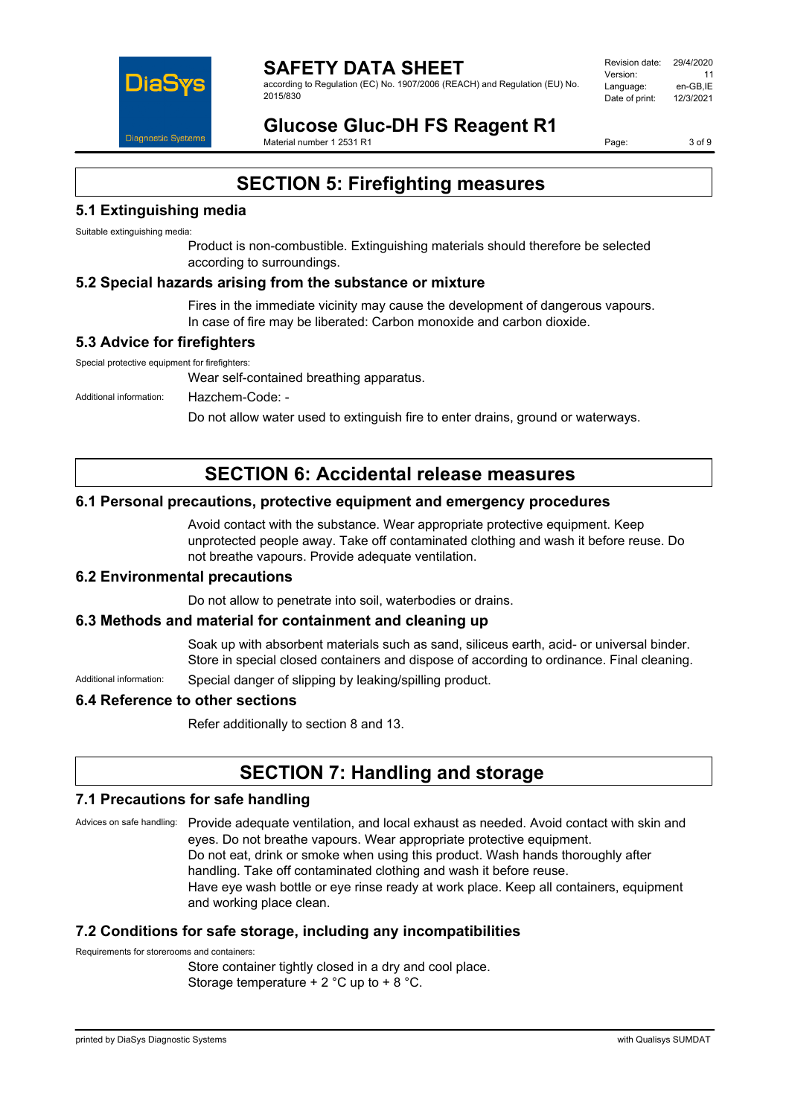

according to Regulation (EC) No. 1907/2006 (REACH) and Regulation (EU) No. 2015/830

| Revision date: | 29/4/2020 |
|----------------|-----------|
| Version:       | 11        |
| Language:      | en-GB.IE  |
| Date of print: | 12/3/2021 |
|                |           |

**Glucose Gluc-DH FS Reagent R1** Material number 1 2531 R1

Page: 3 of 9

# **SECTION 5: Firefighting measures**

### **5.1 Extinguishing media**

Suitable extinguishing media:

Product is non-combustible. Extinguishing materials should therefore be selected according to surroundings.

### **5.2 Special hazards arising from the substance or mixture**

Fires in the immediate vicinity may cause the development of dangerous vapours. In case of fire may be liberated: Carbon monoxide and carbon dioxide.

### **5.3 Advice for firefighters**

Special protective equipment for firefighters:

Wear self-contained breathing apparatus.

Additional information: Hazchem-Code: -

Do not allow water used to extinguish fire to enter drains, ground or waterways.

# **SECTION 6: Accidental release measures**

### **6.1 Personal precautions, protective equipment and emergency procedures**

Avoid contact with the substance. Wear appropriate protective equipment. Keep unprotected people away. Take off contaminated clothing and wash it before reuse. Do not breathe vapours. Provide adequate ventilation.

#### **6.2 Environmental precautions**

Do not allow to penetrate into soil, waterbodies or drains.

#### **6.3 Methods and material for containment and cleaning up**

Soak up with absorbent materials such as sand, siliceus earth, acid- or universal binder. Store in special closed containers and dispose of according to ordinance. Final cleaning.

Additional information: Special danger of slipping by leaking/spilling product.

#### **6.4 Reference to other sections**

Refer additionally to section 8 and 13.

# **SECTION 7: Handling and storage**

#### **7.1 Precautions for safe handling**

Advices on safe handling: Provide adequate ventilation, and local exhaust as needed. Avoid contact with skin and eyes. Do not breathe vapours. Wear appropriate protective equipment. Do not eat, drink or smoke when using this product. Wash hands thoroughly after handling. Take off contaminated clothing and wash it before reuse. Have eye wash bottle or eye rinse ready at work place. Keep all containers, equipment and working place clean.

#### **7.2 Conditions for safe storage, including any incompatibilities**

Requirements for storerooms and containers:

Store container tightly closed in a dry and cool place. Storage temperature + 2 °C up to + 8 °C.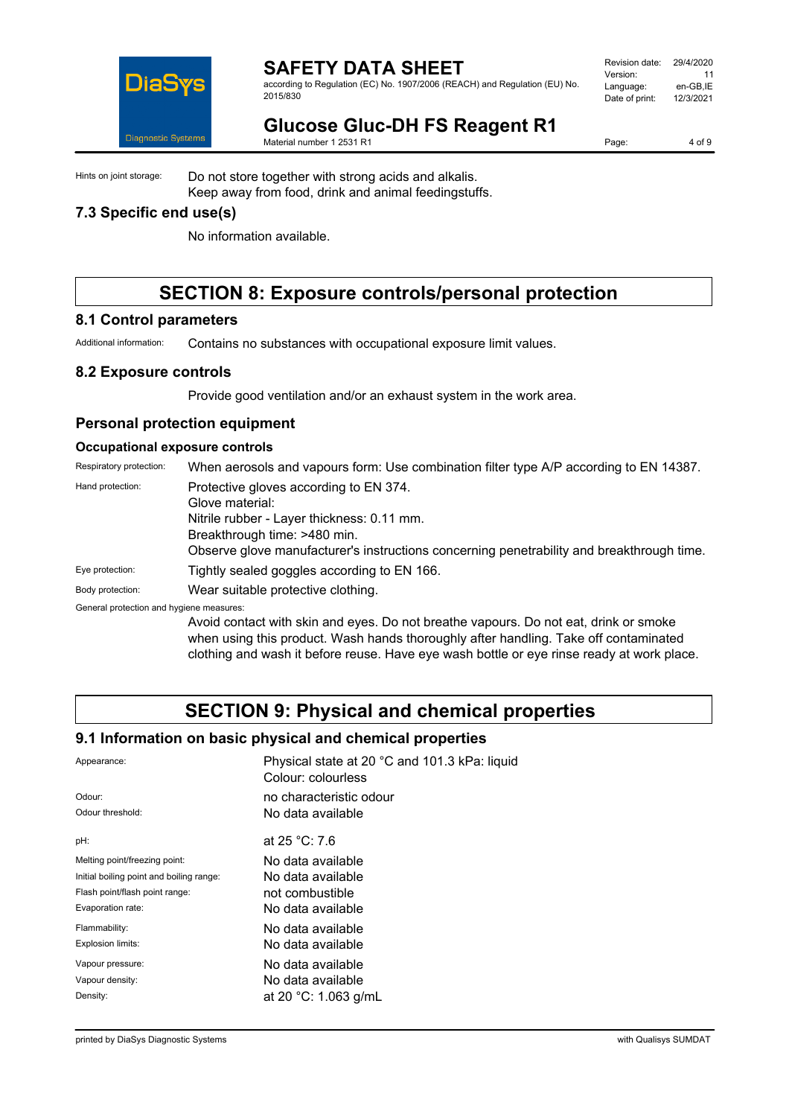

according to Regulation (EC) No. 1907/2006 (REACH) and Regulation (EU) No. 2015/830

| Revision date: | 29/4/2020 |
|----------------|-----------|
| Version:       | 11        |
| Language:      | en-GB.IE  |
| Date of print: | 12/3/2021 |
|                |           |

# **Glucose Gluc-DH FS Reagent R1**

Material number 1 2531 R1

Page: 4 of 9

Hints on joint storage: Do not store together with strong acids and alkalis. Keep away from food, drink and animal feedingstuffs.

## **7.3 Specific end use(s)**

No information available.

# **SECTION 8: Exposure controls/personal protection**

#### **8.1 Control parameters**

Additional information: Contains no substances with occupational exposure limit values.

#### **8.2 Exposure controls**

Provide good ventilation and/or an exhaust system in the work area.

### **Personal protection equipment**

#### **Occupational exposure controls**

Respiratory protection: When aerosols and vapours form: Use combination filter type A/P according to EN 14387.

| Hand protection:                         | Protective gloves according to EN 374.                                                                                                                                                                           |
|------------------------------------------|------------------------------------------------------------------------------------------------------------------------------------------------------------------------------------------------------------------|
|                                          | Glove material:                                                                                                                                                                                                  |
|                                          | Nitrile rubber - Layer thickness: 0.11 mm.                                                                                                                                                                       |
|                                          | Breakthrough time: >480 min.                                                                                                                                                                                     |
|                                          | Observe glove manufacturer's instructions concerning penetrability and breakthrough time.                                                                                                                        |
| Eye protection:                          | Tightly sealed goggles according to EN 166.                                                                                                                                                                      |
| Body protection:                         | Wear suitable protective clothing.                                                                                                                                                                               |
| General protection and hygiene measures: |                                                                                                                                                                                                                  |
|                                          | Avoid contact with skin and eyes. Do not breathe vapours. Do not eat, drink or smoke<br>الممتاحة ويتماس والقائم المتاريخ الممتال ومتكون والماسوو وبالمستطر والمستمط الماحي والمستحدث والماري والمستمور والمستحدث |

when using this product. Wash hands thoroughly after handling. Take off contaminated clothing and wash it before reuse. Have eye wash bottle or eye rinse ready at work place.

# **SECTION 9: Physical and chemical properties**

### **9.1 Information on basic physical and chemical properties**

| Physical state at 20 °C and 101.3 kPa: liquid<br>Colour: colourless |
|---------------------------------------------------------------------|
| no characteristic odour                                             |
| No data available                                                   |
| at $25 °C$ : 7.6                                                    |
| No data available                                                   |
| No data available                                                   |
| not combustible                                                     |
| No data available                                                   |
| No data available                                                   |
| No data available                                                   |
| No data available                                                   |
| No data available                                                   |
| at 20 °C: 1.063 g/mL                                                |
|                                                                     |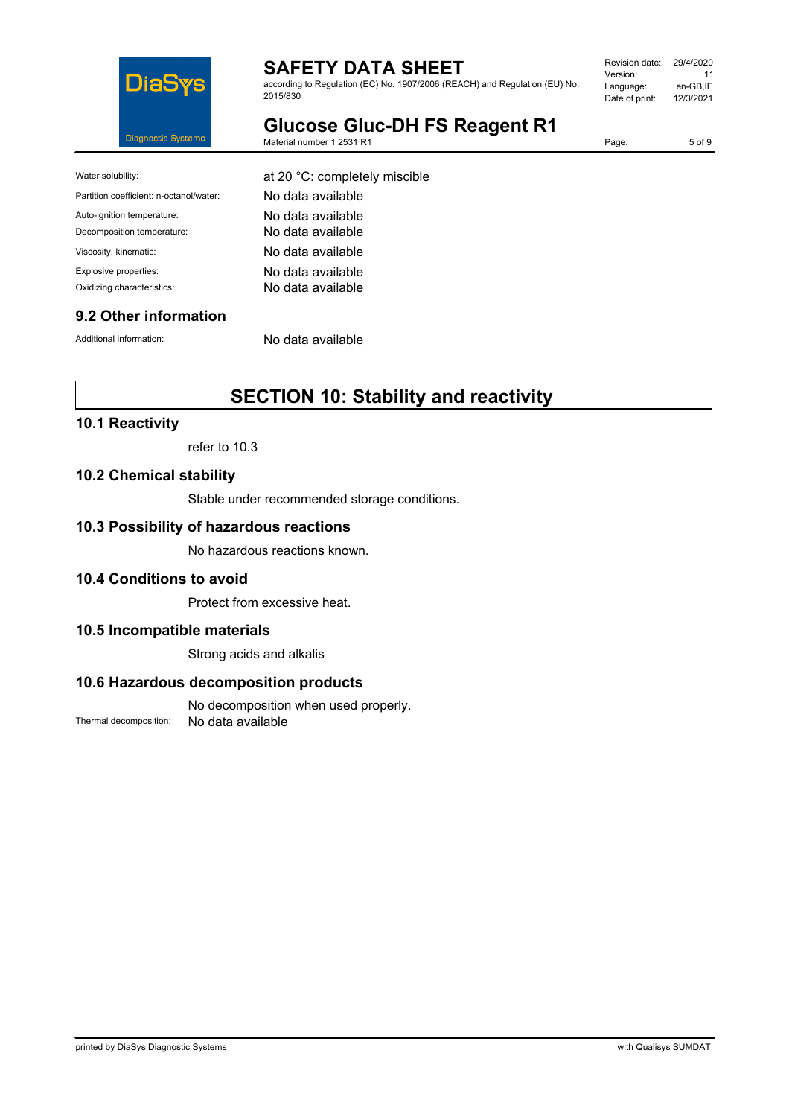

according to Regulation (EC) No. 1907/2006 (REACH) and Regulation (EU) No. 2015/830

| Revision date: | 29/4/2020 |
|----------------|-----------|
| Version:       | 11        |
| Language:      | en-GB.IE  |
| Date of print: | 12/3/2021 |
|                |           |

**Glucose Gluc-DH FS Reagent R1** Material number 1 2531 R1

Page: 5 of 9

| Water solubility:                       | at 20 °C: completely miscible |
|-----------------------------------------|-------------------------------|
| Partition coefficient: n-octanol/water: | No data available             |
| Auto-ignition temperature:              | No data available             |
| Decomposition temperature:              | No data available             |
| Viscosity, kinematic:                   | No data available             |
| Explosive properties:                   | No data available             |
| Oxidizing characteristics:              | No data available             |
|                                         |                               |

### **9.2 Other information**

Additional information: No data available

# **SECTION 10: Stability and reactivity**

### **10.1 Reactivity**

refer to 10.3

#### **10.2 Chemical stability**

Stable under recommended storage conditions.

#### **10.3 Possibility of hazardous reactions**

No hazardous reactions known.

### **10.4 Conditions to avoid**

Protect from excessive heat.

#### **10.5 Incompatible materials**

Strong acids and alkalis

#### **10.6 Hazardous decomposition products**

No decomposition when used properly. Thermal decomposition: No data available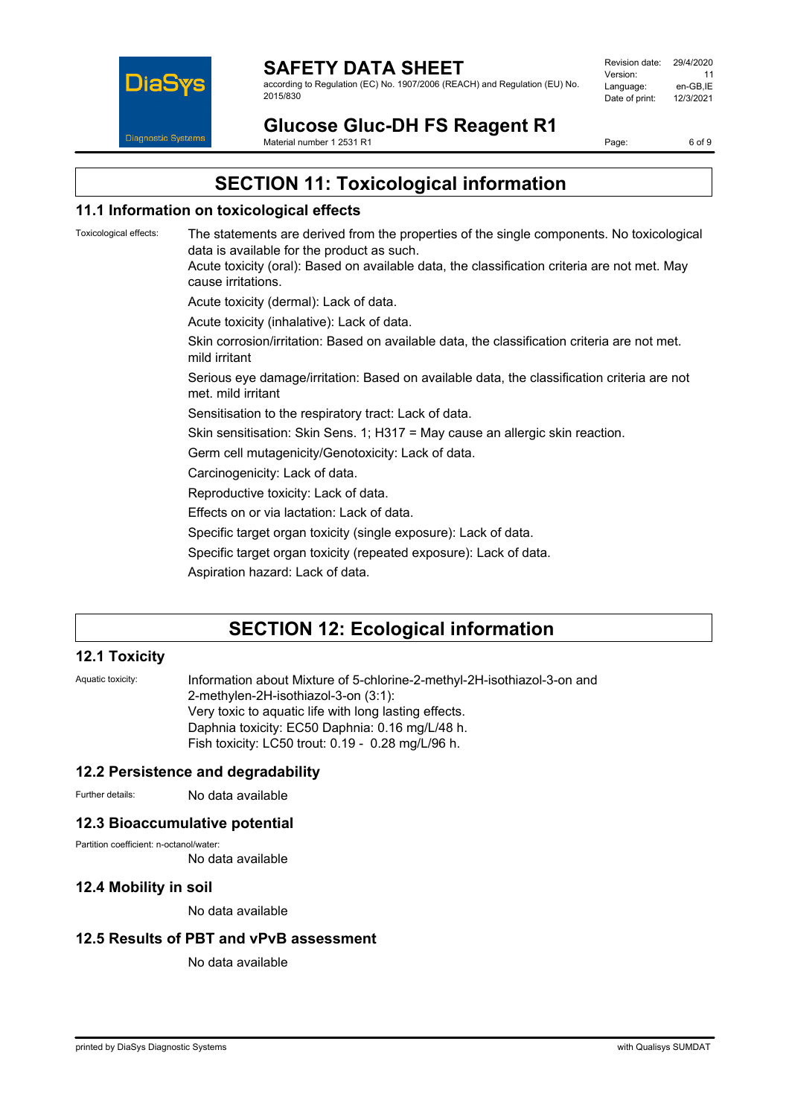

according to Regulation (EC) No. 1907/2006 (REACH) and Regulation (EU) No. 2015/830

| Revision date: | 29/4/2020 |
|----------------|-----------|
| Version:       | 11        |
| Language:      | en-GB.IE  |
| Date of print: | 12/3/2021 |
|                |           |

**Glucose Gluc-DH FS Reagent R1** Material number 1 2531 R1

Page: 6 of 9

# **SECTION 11: Toxicological information**

# **11.1 Information on toxicological effects**

Toxicological effects: The statements are derived from the properties of the single components. No toxicological data is available for the product as such. Acute toxicity (oral): Based on available data, the classification criteria are not met. May cause irritations. Acute toxicity (dermal): Lack of data. Acute toxicity (inhalative): Lack of data. Skin corrosion/irritation: Based on available data, the classification criteria are not met. mild irritant Serious eye damage/irritation: Based on available data, the classification criteria are not met. mild irritant Sensitisation to the respiratory tract: Lack of data. Skin sensitisation: Skin Sens. 1; H317 = May cause an allergic skin reaction. Germ cell mutagenicity/Genotoxicity: Lack of data. Carcinogenicity: Lack of data. Reproductive toxicity: Lack of data. Effects on or via lactation: Lack of data. Specific target organ toxicity (single exposure): Lack of data. Specific target organ toxicity (repeated exposure): Lack of data. Aspiration hazard: Lack of data.

# **SECTION 12: Ecological information**

### **12.1 Toxicity**

Aquatic toxicity: Information about Mixture of 5-chlorine-2-methyl-2H-isothiazol-3-on and 2-methylen-2H-isothiazol-3-on (3:1): Very toxic to aquatic life with long lasting effects. Daphnia toxicity: EC50 Daphnia: 0.16 mg/L/48 h. Fish toxicity: LC50 trout: 0.19 - 0.28 mg/L/96 h.

### **12.2 Persistence and degradability**

Further details: No data available

### **12.3 Bioaccumulative potential**

Partition coefficient: n-octanol/water:

No data available

#### **12.4 Mobility in soil**

No data available

### **12.5 Results of PBT and vPvB assessment**

No data available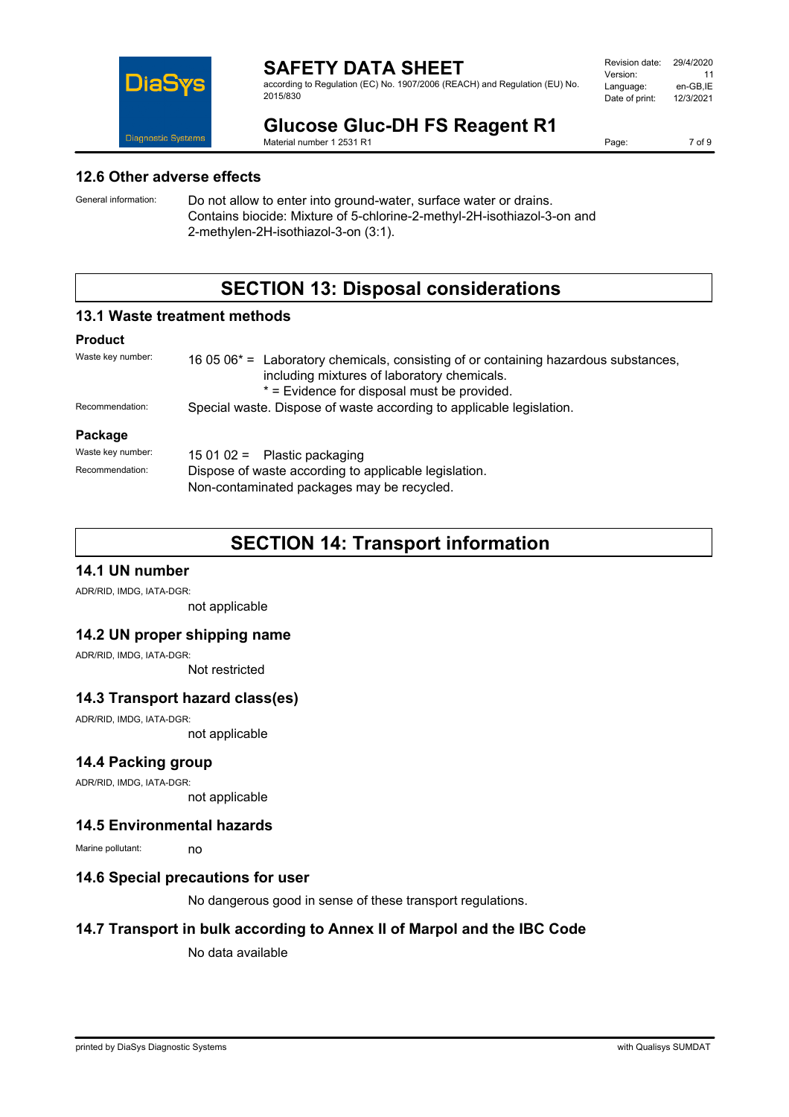

according to Regulation (EC) No. 1907/2006 (REACH) and Regulation (EU) No. 2015/830

| Revision date: | 29/4/2020 |
|----------------|-----------|
| Version:       | 11        |
| Language:      | en-GB.IE  |
| Date of print: | 12/3/2021 |
|                |           |

# **Glucose Gluc-DH FS Reagent R1**

Material number 1 2531 R1

Page: 7 of 9

#### **12.6 Other adverse effects**

General information: Do not allow to enter into ground-water, surface water or drains. Contains biocide: Mixture of 5-chlorine-2-methyl-2H-isothiazol-3-on and 2-methylen-2H-isothiazol-3-on (3:1).

# **SECTION 13: Disposal considerations**

### **13.1 Waste treatment methods**

#### **Product**

| Waste key number: | 16 05 06 <sup>*</sup> = Laboratory chemicals, consisting of or containing hazardous substances,<br>including mixtures of laboratory chemicals.<br>* = Evidence for disposal must be provided. |  |
|-------------------|-----------------------------------------------------------------------------------------------------------------------------------------------------------------------------------------------|--|
| Recommendation:   | Special waste. Dispose of waste according to applicable legislation.                                                                                                                          |  |
| Package           |                                                                                                                                                                                               |  |
| Waste key number: | 15 01 02 = Plastic packaging                                                                                                                                                                  |  |
| Recommendation:   | Dispose of waste according to applicable legislation.                                                                                                                                         |  |

Non-contaminated packages may be recycled.

# **SECTION 14: Transport information**

### **14.1 UN number**

ADR/RID, IMDG, IATA-DGR:

not applicable

### **14.2 UN proper shipping name**

ADR/RID, IMDG, IATA-DGR:

Not restricted

### **14.3 Transport hazard class(es)**

ADR/RID, IMDG, IATA-DGR: not applicable

### **14.4 Packing group**

ADR/RID, IMDG, IATA-DGR:

not applicable

#### **14.5 Environmental hazards**

Marine pollutant: no

#### **14.6 Special precautions for user**

No dangerous good in sense of these transport regulations.

### **14.7 Transport in bulk according to Annex II of Marpol and the IBC Code**

No data available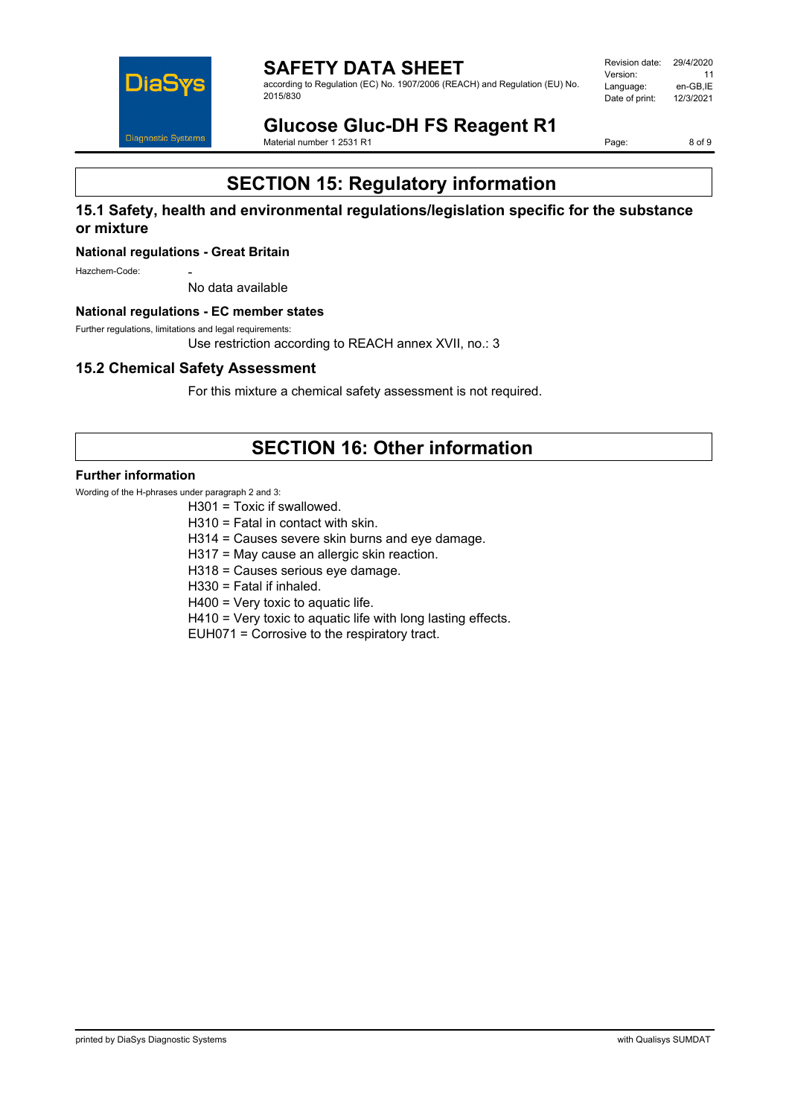

**SAFETY DATA SHEET** according to Regulation (EC) No. 1907/2006 (REACH) and Regulation (EU) No. 2015/830

Revision date: 29/4/2020 Version: 11<br>Language: en-GB.IE Language: en-GB,IE<br>Date of print: 12/3/2021 Date of print:

**Glucose Gluc-DH FS Reagent R1** Material number 1 2531 R1

Page: 8 of 9

# **SECTION 15: Regulatory information**

### **15.1 Safety, health and environmental regulations/legislation specific for the substance or mixture**

#### **National regulations - Great Britain**

Hazchem-Code:

No data available

#### **National regulations - EC member states**

Further regulations, limitations and legal requirements:

Use restriction according to REACH annex XVII, no.: 3

#### **15.2 Chemical Safety Assessment**

For this mixture a chemical safety assessment is not required.

# **SECTION 16: Other information**

#### **Further information**

Wording of the H-phrases under paragraph 2 and 3:

- H301 = Toxic if swallowed.
- H310 = Fatal in contact with skin.
- H314 = Causes severe skin burns and eye damage.
- H317 = May cause an allergic skin reaction.
- H318 = Causes serious eye damage.
- H330 = Fatal if inhaled.

H400 = Very toxic to aquatic life.

H410 = Very toxic to aquatic life with long lasting effects.

EUH071 = Corrosive to the respiratory tract.